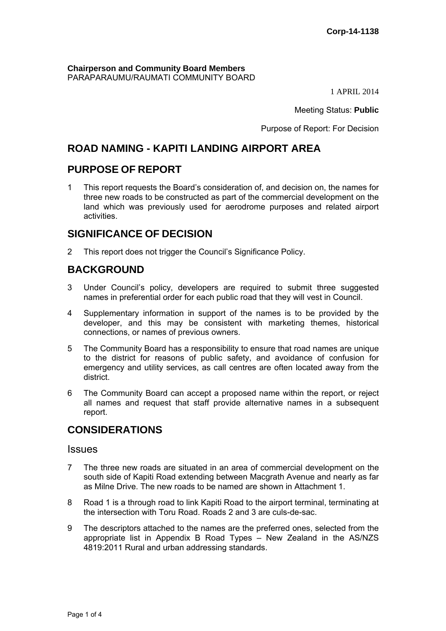**Chairperson and Community Board Members** PARAPARAUMU/RAUMATI COMMUNITY BOARD

1 APRIL 2014

Meeting Status: **Public**

Purpose of Report: For Decision

# **ROAD NAMING - KAPITI LANDING AIRPORT AREA**

## **PURPOSE OF REPORT**

1 This report requests the Board's consideration of, and decision on, the names for three new roads to be constructed as part of the commercial development on the land which was previously used for aerodrome purposes and related airport activities.

# **SIGNIFICANCE OF DECISION**

2 This report does not trigger the Council's Significance Policy.

# **BACKGROUND**

- 3 Under Council's policy, developers are required to submit three suggested names in preferential order for each public road that they will vest in Council.
- 4 Supplementary information in support of the names is to be provided by the developer, and this may be consistent with marketing themes, historical connections, or names of previous owners.
- 5 The Community Board has a responsibility to ensure that road names are unique to the district for reasons of public safety, and avoidance of confusion for emergency and utility services, as call centres are often located away from the district.
- 6 The Community Board can accept a proposed name within the report, or reject all names and request that staff provide alternative names in a subsequent report.

## **CONSIDERATIONS**

#### **Issues**

- 7 The three new roads are situated in an area of commercial development on the south side of Kapiti Road extending between Macgrath Avenue and nearly as far as Milne Drive. The new roads to be named are shown in Attachment 1.
- 8 Road 1 is a through road to link Kapiti Road to the airport terminal, terminating at the intersection with Toru Road. Roads 2 and 3 are culs-de-sac.
- 9 The descriptors attached to the names are the preferred ones, selected from the appropriate list in Appendix B Road Types – New Zealand in the AS/NZS 4819:2011 Rural and urban addressing standards.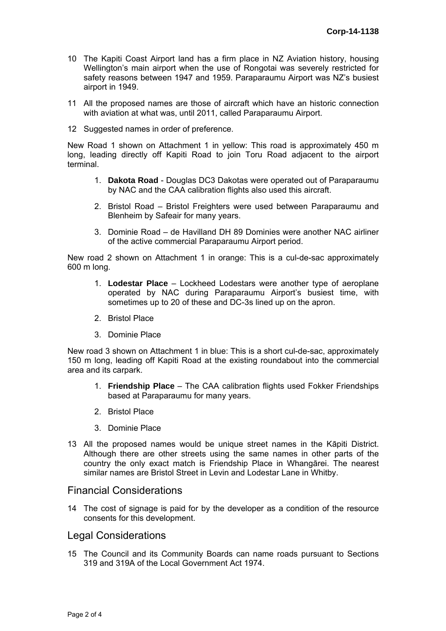- 10 The Kapiti Coast Airport land has a firm place in NZ Aviation history, housing Wellington's main airport when the use of Rongotai was severely restricted for safety reasons between 1947 and 1959. Paraparaumu Airport was NZ's busiest airport in 1949.
- 11 All the proposed names are those of aircraft which have an historic connection with aviation at what was, until 2011, called Paraparaumu Airport.
- 12 Suggested names in order of preference.

New Road 1 shown on Attachment 1 in yellow: This road is approximately 450 m long, leading directly off Kapiti Road to join Toru Road adjacent to the airport terminal.

- 1. **Dakota Road** Douglas DC3 Dakotas were operated out of Paraparaumu by NAC and the CAA calibration flights also used this aircraft.
- 2. Bristol Road Bristol Freighters were used between Paraparaumu and Blenheim by Safeair for many years.
- 3. Dominie Road de Havilland DH 89 Dominies were another NAC airliner of the active commercial Paraparaumu Airport period.

New road 2 shown on Attachment 1 in orange: This is a cul-de-sac approximately 600 m long.

- 1. **Lodestar Place** Lockheed Lodestars were another type of aeroplane operated by NAC during Paraparaumu Airport's busiest time, with sometimes up to 20 of these and DC-3s lined up on the apron.
- 2. Bristol Place
- 3. Dominie Place

New road 3 shown on Attachment 1 in blue: This is a short cul-de-sac, approximately 150 m long, leading off Kapiti Road at the existing roundabout into the commercial area and its carpark.

- 1. **Friendship Place** The CAA calibration flights used Fokker Friendships based at Paraparaumu for many years.
- 2. Bristol Place
- 3. Dominie Place
- 13 All the proposed names would be unique street names in the Kāpiti District. Although there are other streets using the same names in other parts of the country the only exact match is Friendship Place in Whangārei. The nearest similar names are Bristol Street in Levin and Lodestar Lane in Whitby.

### Financial Considerations

14 The cost of signage is paid for by the developer as a condition of the resource consents for this development.

#### Legal Considerations

15 The Council and its Community Boards can name roads pursuant to Sections 319 and 319A of the Local Government Act 1974.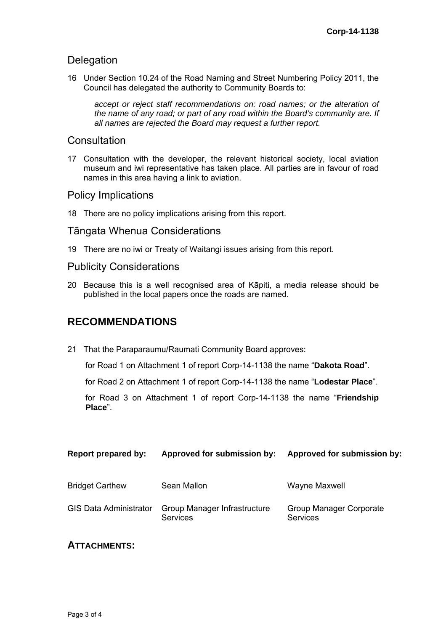### **Delegation**

16 Under Section 10.24 of the Road Naming and Street Numbering Policy 2011, the Council has delegated the authority to Community Boards to:

accept or reject staff recommendations on: road names; or the alteration of *the name of any road; or part of any road within the Board's community are. If all names are rejected the Board may request a further report.* 

#### **Consultation**

17 Consultation with the developer, the relevant historical society, local aviation museum and iwi representative has taken place. All parties are in favour of road names in this area having a link to aviation.

### Policy Implications

18 There are no policy implications arising from this report.

### Tāngata Whenua Considerations

19 There are no iwi or Treaty of Waitangi issues arising from this report.

### Publicity Considerations

20 Because this is a well recognised area of Kāpiti, a media release should be published in the local papers once the roads are named.

## **RECOMMENDATIONS**

21 That the Paraparaumu/Raumati Community Board approves:

for Road 1 on Attachment 1 of report Corp-14-1138 the name "**Dakota Road**".

for Road 2 on Attachment 1 of report Corp-14-1138 the name "**Lodestar Place**".

for Road 3 on Attachment 1 of report Corp-14-1138 the name "**Friendship Place**".

| Report prepared by:           | Approved for submission by:                     | Approved for submission by:         |
|-------------------------------|-------------------------------------------------|-------------------------------------|
| <b>Bridget Carthew</b>        | Sean Mallon                                     | <b>Wayne Maxwell</b>                |
| <b>GIS Data Administrator</b> | Group Manager Infrastructure<br><b>Services</b> | Group Manager Corporate<br>Services |

### **ATTACHMENTS:**